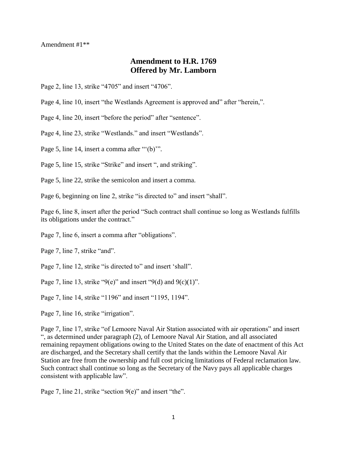Amendment #1\*\*

## **Amendment to H.R. 1769 Offered by Mr. Lamborn**

Page 2, line 13, strike "4705" and insert "4706".

Page 4, line 10, insert "the Westlands Agreement is approved and" after "herein,".

Page 4, line 20, insert "before the period" after "sentence".

Page 4, line 23, strike "Westlands." and insert "Westlands".

Page 5, line 14, insert a comma after ""(b)".

Page 5, line 15, strike "Strike" and insert ", and striking".

Page 5, line 22, strike the semicolon and insert a comma.

Page 6, beginning on line 2, strike "is directed to" and insert "shall".

Page 6, line 8, insert after the period "Such contract shall continue so long as Westlands fulfills its obligations under the contract."

Page 7, line 6, insert a comma after "obligations".

Page 7, line 7, strike "and".

Page 7, line 12, strike "is directed to" and insert 'shall".

Page 7, line 13, strike "9(e)" and insert "9(d) and 9(c)(1)".

Page 7, line 14, strike "1196" and insert "1195, 1194".

Page 7, line 16, strike "irrigation".

Page 7, line 17, strike "of Lemoore Naval Air Station associated with air operations" and insert ", as determined under paragraph (2), of Lemoore Naval Air Station, and all associated remaining repayment obligations owing to the United States on the date of enactment of this Act are discharged, and the Secretary shall certify that the lands within the Lemoore Naval Air Station are free from the ownership and full cost pricing limitations of Federal reclamation law. Such contract shall continue so long as the Secretary of the Navy pays all applicable charges consistent with applicable law".

Page 7, line 21, strike "section 9(e)" and insert "the".